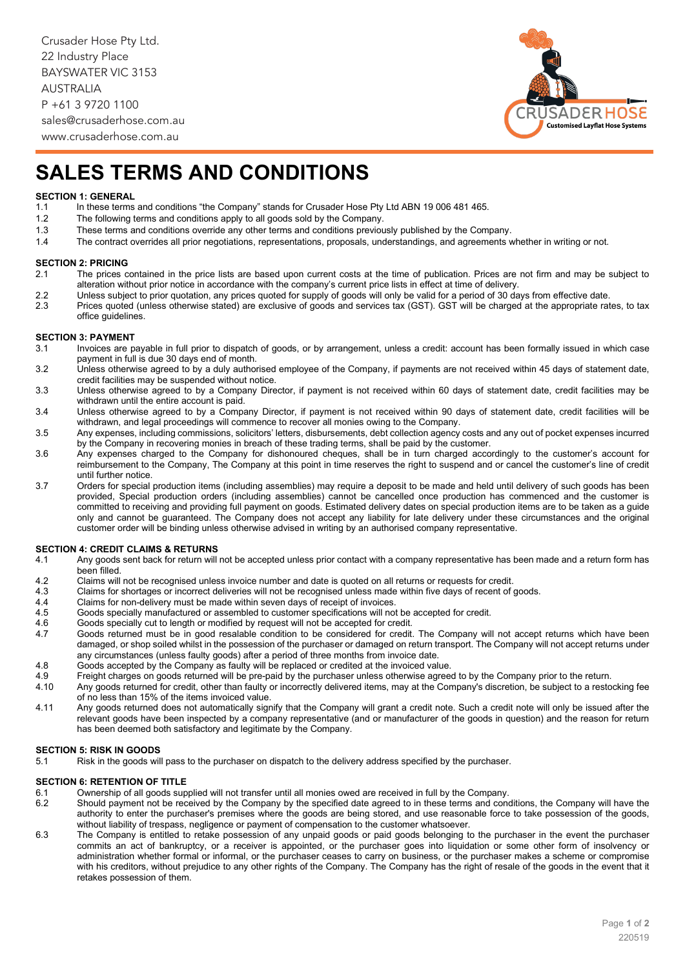Crusader Hose Pty Ltd. 22 Industry Place BAYSWATER VIC 3153 AUSTRALIA P +61 3 9720 1100 sales@crusaderhose.com.au



www.crusaderhose.com.au

# **SALES TERMS AND CONDITIONS**

# **SECTION 1: GENERAL**<br>1.1 In these terms

- 1.1 In these terms and conditions "the Company" stands for Crusader Hose Pty Ltd ABN 19 006 481 465.<br>1.2 The following terms and conditions apply to all goods sold by the Company.
- 1.2 The following terms and conditions apply to all goods sold by the Company.<br>1.3 These terms and conditions override any other terms and conditions previou
	- These terms and conditions override any other terms and conditions previously published by the Company.
- 1.4 The contract overrides all prior negotiations, representations, proposals, understandings, and agreements whether in writing or not.

# **SECTION 2: PRICING**<br>2.1 The prices c

- The prices contained in the price lists are based upon current costs at the time of publication. Prices are not firm and may be subject to alteration without prior notice in accordance with the company's current price lists in effect at time of delivery.
- 2.2 Unless subject to prior quotation, any prices quoted for supply of goods will only be valid for a period of 30 days from effective date.<br>2.3 Prices quoted (unless otherwise stated) are exclusive of goods and services t
- Prices quoted (unless otherwise stated) are exclusive of goods and services tax (GST). GST will be charged at the appropriate rates, to tax office guidelines.

### **SECTION 3: PAYMENT**<br>3.1 **Invoices** are p

- Invoices are payable in full prior to dispatch of goods, or by arrangement, unless a credit: account has been formally issued in which case payment in full is due 30 days end of month.
- 3.2 Unless otherwise agreed to by a duly authorised employee of the Company, if payments are not received within 45 days of statement date, credit facilities may be suspended without notice.
- 3.3 Unless otherwise agreed to by a Company Director, if payment is not received within 60 days of statement date, credit facilities may be withdrawn until the entire account is paid.
- 3.4 Unless otherwise agreed to by a Company Director, if payment is not received within 90 days of statement date, credit facilities will be withdrawn, and legal proceedings will commence to recover all monies owing to the Company.
- 3.5 Any expenses, including commissions, solicitors' letters, disbursements, debt collection agency costs and any out of pocket expenses incurred by the Company in recovering monies in breach of these trading terms, shall be paid by the customer.
- 3.6 Any expenses charged to the Company for dishonoured cheques, shall be in turn charged accordingly to the customer's account for reimbursement to the Company, The Company at this point in time reserves the right to suspend and or cancel the customer's line of credit until further notice.
- 3.7 Orders for special production items (including assemblies) may require a deposit to be made and held until delivery of such goods has been provided, Special production orders (including assemblies) cannot be cancelled once production has commenced and the customer is committed to receiving and providing full payment on goods. Estimated delivery dates on special production items are to be taken as a guide only and cannot be guaranteed. The Company does not accept any liability for late delivery under these circumstances and the original customer order will be binding unless otherwise advised in writing by an authorised company representative.

# **SECTION 4: CREDIT CLAIMS & RETURNS**<br>4.1 Any goods sent back for return will

- Any goods sent back for return will not be accepted unless prior contact with a company representative has been made and a return form has been filled.
- 4.2 Claims will not be recognised unless invoice number and date is quoted on all returns or requests for credit.<br>4.3 Claims for shortages or incorrect deliveries will not be recognised unless made within five days of rece
- 4.3 Claims for shortages or incorrect deliveries will not be recognised unless made within five days of recent of goods.<br>4.4 Claims for non-delivery must be made within seven days of receipt of invoices
- 4.4 Claims for non-delivery must be made within seven days of receipt of invoices.<br>4.5 Goods specially manufactured or assembled to customer specifications will not
- 4.5 Goods specially manufactured or assembled to customer specifications will not be accepted for credit.<br>4.6 Goods specially cut to length or modified by request will not be accepted for credit.
- 4.6 Goods specially cut to length or modified by request will not be accepted for credit.<br>4.7 Goods returned must be in good resalable condition to be considered for credit
- Goods returned must be in good resalable condition to be considered for credit. The Company will not accept returns which have been damaged, or shop soiled whilst in the possession of the purchaser or damaged on return transport. The Company will not accept returns under any circumstances (unless faulty goods) after a period of three months from invoice date.
- 4.8 Goods accepted by the Company as faulty will be replaced or credited at the invoiced value.<br>4.9 Freight charges on goods returned will be pre-paid by the purchaser unless otherwise agree
- 4.9 Freight charges on goods returned will be pre-paid by the purchaser unless otherwise agreed to by the Company prior to the return.<br>4.10 Any goods returned for credit, other than faulty or incorrectly delivered items, m
- Any goods returned for credit, other than faulty or incorrectly delivered items, may at the Company's discretion, be subject to a restocking fee of no less than 15% of the items invoiced value.
- 4.11 Any goods returned does not automatically signify that the Company will grant a credit note. Such a credit note will only be issued after the relevant goods have been inspected by a company representative (and or manufacturer of the goods in question) and the reason for return has been deemed both satisfactory and legitimate by the Company.

# **SECTION 5: RISK IN GOODS**<br>5.1 Risk in the goods will

Risk in the goods will pass to the purchaser on dispatch to the delivery address specified by the purchaser.

#### **SECTION 6: RETENTION OF TITLE**<br>6.1 Ownership of all goods sure

- 6.1 Ownership of all goods supplied will not transfer until all monies owed are received in full by the Company.
- Should payment not be received by the Company by the specified date agreed to in these terms and conditions, the Company will have the authority to enter the purchaser's premises where the goods are being stored, and use reasonable force to take possession of the goods, without liability of trespass, negligence or payment of compensation to the customer whatsoever.
- 6.3 The Company is entitled to retake possession of any unpaid goods or paid goods belonging to the purchaser in the event the purchaser commits an act of bankruptcy, or a receiver is appointed, or the purchaser goes into liquidation or some other form of insolvency or administration whether formal or informal, or the purchaser ceases to carry on business, or the purchaser makes a scheme or compromise with his creditors, without prejudice to any other rights of the Company. The Company has the right of resale of the goods in the event that it retakes possession of them.